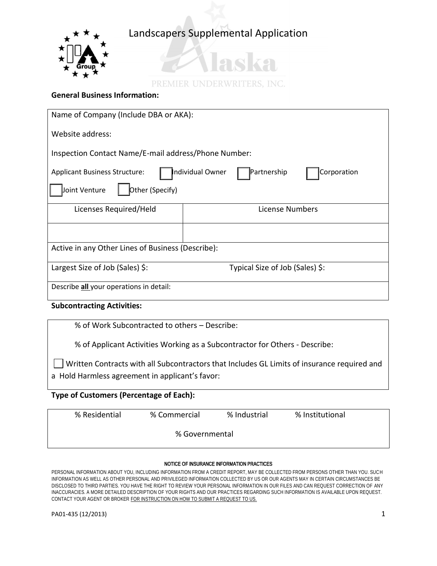

# adza

PREMIER UNDERWRITERS, INC.

## **General Business Information:**

| Name of Company (Include DBA or AKA):                                                 |                                 |  |
|---------------------------------------------------------------------------------------|---------------------------------|--|
| Website address:                                                                      |                                 |  |
| Inspection Contact Name/E-mail address/Phone Number:                                  |                                 |  |
| ndividual Owner<br>Partnership<br>Corporation<br><b>Applicant Business Structure:</b> |                                 |  |
| Other (Specify)<br>Joint Venture                                                      |                                 |  |
| Licenses Required/Held                                                                | <b>License Numbers</b>          |  |
|                                                                                       |                                 |  |
| Active in any Other Lines of Business (Describe):                                     |                                 |  |
| Largest Size of Job (Sales) \$:                                                       | Typical Size of Job (Sales) \$: |  |
| Describe all your operations in detail:                                               |                                 |  |

### **Subcontracting Activities:**

% of Work Subcontracted to others – Describe:

% of Applicant Activities Working as a Subcontractor for Others - Describe:

Written Contracts with all Subcontractors that Includes GL Limits of insurance required and a Hold Harmless agreement in applicant's favor:

### **Type of Customers (Percentage of Each):**

| % Residential | % Commercial   | % Industrial | % Institutional |  |
|---------------|----------------|--------------|-----------------|--|
|               | % Governmental |              |                 |  |

### NOTICE OF INSURANCE INFORMATION PRACTICES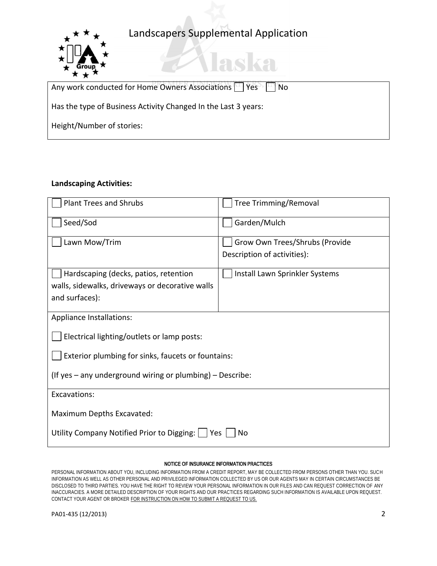laska



### **Landscaping Activities:**

| <b>Plant Trees and Shrubs</b>                               | <b>Tree Trimming/Removal</b>   |  |  |
|-------------------------------------------------------------|--------------------------------|--|--|
| Seed/Sod                                                    | Garden/Mulch                   |  |  |
| Lawn Mow/Trim                                               | Grow Own Trees/Shrubs (Provide |  |  |
|                                                             | Description of activities):    |  |  |
| Hardscaping (decks, patios, retention                       | Install Lawn Sprinkler Systems |  |  |
| walls, sidewalks, driveways or decorative walls             |                                |  |  |
| and surfaces):                                              |                                |  |  |
| Appliance Installations:                                    |                                |  |  |
| Electrical lighting/outlets or lamp posts:                  |                                |  |  |
| Exterior plumbing for sinks, faucets or fountains:          |                                |  |  |
| (If yes - any underground wiring or plumbing) - Describe:   |                                |  |  |
| Excavations:                                                |                                |  |  |
| Maximum Depths Excavated:                                   |                                |  |  |
| Utility Company Notified Prior to Digging:  <br>l Yes<br>No |                                |  |  |

#### NOTICE OF INSURANCE INFORMATION PRACTICES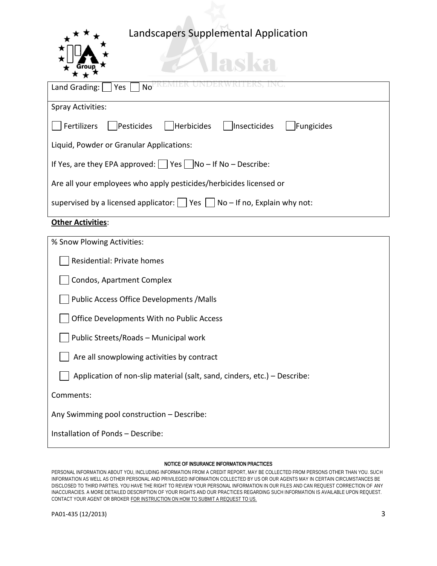*Haska* 



| ★ ★ ^                                                                                             |  |  |
|---------------------------------------------------------------------------------------------------|--|--|
| Land Grading: $ $   Yes<br>No                                                                     |  |  |
|                                                                                                   |  |  |
| <b>Spray Activities:</b>                                                                          |  |  |
| Herbicides<br>Fertilizers<br>Pesticides<br>  Insecticides<br>Fungicides                           |  |  |
| Liquid, Powder or Granular Applications:                                                          |  |  |
| If Yes, are they EPA approved: $ $   Yes     No – If No – Describe:                               |  |  |
| Are all your employees who apply pesticides/herbicides licensed or                                |  |  |
| supervised by a licensed applicator: $\vert \vert$ Yes $\vert \vert$ No – If no, Explain why not: |  |  |
| <b>Other Activities:</b>                                                                          |  |  |

| % Snow Plowing Activities:                                               |
|--------------------------------------------------------------------------|
| Residential: Private homes                                               |
| Condos, Apartment Complex                                                |
| Public Access Office Developments / Malls                                |
| Office Developments With no Public Access                                |
| Public Streets/Roads - Municipal work                                    |
| Are all snowplowing activities by contract                               |
| Application of non-slip material (salt, sand, cinders, etc.) – Describe: |
| Comments:                                                                |
| Any Swimming pool construction - Describe:                               |
| Installation of Ponds - Describe:                                        |
|                                                                          |

#### NOTICE OF INSURANCE INFORMATION PRACTICES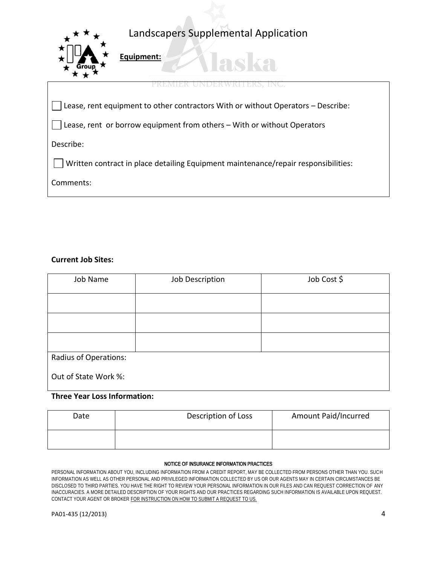laska



**Equipment:** 

| PREMIER UNDERWKITERS, INC.                                                                          |  |
|-----------------------------------------------------------------------------------------------------|--|
| $\vert\,\,\,\vert$ Lease, rent equipment to other contractors With or without Operators – Describe: |  |
| $\vert\,\,\,\vert$ Lease, rent or borrow equipment from others – With or without Operators          |  |
|                                                                                                     |  |
| Written contract in place detailing Equipment maintenance/repair responsibilities:                  |  |
|                                                                                                     |  |
|                                                                                                     |  |

### **Current Job Sites:**

| Job Name                     | Job Description | Job Cost \$ |
|------------------------------|-----------------|-------------|
|                              |                 |             |
|                              |                 |             |
|                              |                 |             |
| <b>Radius of Operations:</b> |                 |             |
| Out of State Work %:         |                 |             |

### **Three Year Loss Information:**

| Date | Description of Loss | Amount Paid/Incurred |
|------|---------------------|----------------------|
|      |                     |                      |

#### NOTICE OF INSURANCE INFORMATION PRACTICES